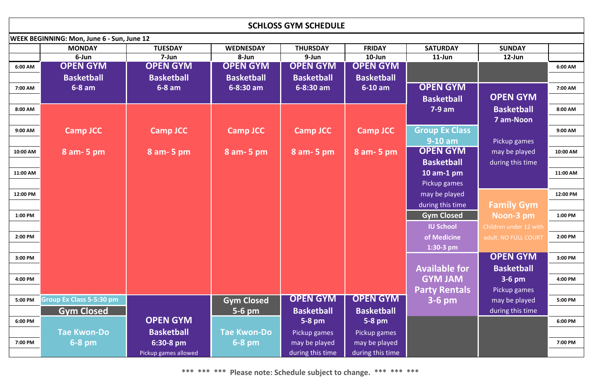| <b>SCHLOSS GYM SCHEDULE</b> |                                                   |                      |                         |                   |                   |                       |                        |          |  |  |  |
|-----------------------------|---------------------------------------------------|----------------------|-------------------------|-------------------|-------------------|-----------------------|------------------------|----------|--|--|--|
|                             | <b>WEEK BEGINNING: Mon, June 6 - Sun, June 12</b> |                      |                         |                   |                   |                       |                        |          |  |  |  |
|                             | <b>MONDAY</b>                                     | <b>TUESDAY</b>       | <b>WEDNESDAY</b>        | <b>THURSDAY</b>   | <b>FRIDAY</b>     | <b>SATURDAY</b>       | <b>SUNDAY</b>          |          |  |  |  |
|                             | 6-Jun                                             | 7-Jun                | 8-Jun                   | 9-Jun             | $10$ -Jun         | $11$ -Jun             | $12$ -Jun              |          |  |  |  |
| 6:00 AM                     | <b>OPEN GYM</b>                                   | <b>OPEN GYM</b>      | <b>OPEN GYM</b>         | <b>OPEN GYM</b>   | <b>OPEN GYM</b>   |                       |                        | 6:00 AM  |  |  |  |
|                             | <b>Basketball</b>                                 | <b>Basketball</b>    | <b>Basketball</b>       | <b>Basketball</b> | <b>Basketball</b> |                       |                        |          |  |  |  |
| 7:00 AM                     | $6-8$ am                                          | $6-8$ am             | $\overline{6}$ -8:30 am | $6 - 8:30$ am     | $6-10$ am         | <b>OPEN GYM</b>       |                        | 7:00 AM  |  |  |  |
|                             |                                                   |                      |                         |                   |                   | <b>Basketball</b>     | <b>OPEN GYM</b>        |          |  |  |  |
| 8:00 AM                     |                                                   |                      |                         |                   |                   | $7-9$ am              | <b>Basketball</b>      | 8:00 AM  |  |  |  |
|                             |                                                   |                      |                         |                   |                   |                       | <b>7 am-Noon</b>       |          |  |  |  |
| 9:00 AM                     | <b>Camp JCC</b>                                   | <b>Camp JCC</b>      | <b>Camp JCC</b>         | <b>Camp JCC</b>   | <b>Camp JCC</b>   | <b>Group Ex Class</b> |                        | 9:00 AM  |  |  |  |
|                             |                                                   |                      |                         |                   |                   | $9-10$ am             | Pickup games           |          |  |  |  |
| 10:00 AM                    | $8$ am- 5 pm                                      | 8 am - 5 pm          | $8$ am- 5 pm            | 8 am - 5 pm       | 8 am - 5 pm       | <b>OPEN GYM</b>       | may be played          | 10:00 AM |  |  |  |
|                             |                                                   |                      |                         |                   |                   | <b>Basketball</b>     | during this time       |          |  |  |  |
| 11:00 AM                    |                                                   |                      |                         |                   |                   | 10 am-1 $pm$          |                        | 11:00 AM |  |  |  |
|                             |                                                   |                      |                         |                   |                   | Pickup games          |                        |          |  |  |  |
| 12:00 PM                    |                                                   |                      |                         |                   |                   | may be played         |                        | 12:00 PM |  |  |  |
|                             |                                                   |                      |                         |                   |                   | during this time      | <b>Family Gym</b>      |          |  |  |  |
| 1:00 PM                     |                                                   |                      |                         |                   |                   | <b>Gym Closed</b>     | Noon-3 pm              | 1:00 PM  |  |  |  |
|                             |                                                   |                      |                         |                   |                   | <b>IU School</b>      | Children under 12 with |          |  |  |  |
| 2:00 PM                     |                                                   |                      |                         |                   |                   | of Medicine           | adult. NO FULL COURT   | 2:00 PM  |  |  |  |
|                             |                                                   |                      |                         |                   |                   | $1:30-3$ pm           |                        |          |  |  |  |
| 3:00 PM                     |                                                   |                      |                         |                   |                   |                       | <b>OPEN GYM</b>        | 3:00 PM  |  |  |  |
|                             |                                                   |                      |                         |                   |                   | <b>Available for</b>  | <b>Basketball</b>      |          |  |  |  |
| 4:00 PM                     |                                                   |                      |                         |                   |                   | <b>GYM JAM</b>        | $3-6$ pm               | 4:00 PM  |  |  |  |
|                             |                                                   |                      |                         |                   |                   | <b>Party Rentals</b>  | Pickup games           |          |  |  |  |
| 5:00 PM                     | <b>Group Ex Class 5-5:30 pm</b>                   |                      | <b>Gym Closed</b>       | <b>OPEN GYM</b>   | <b>OPEN GYM</b>   | $3-6$ pm              | may be played          | 5:00 PM  |  |  |  |
|                             | <b>Gym Closed</b>                                 |                      | $5-6$ pm                | <b>Basketball</b> | <b>Basketball</b> |                       | during this time       |          |  |  |  |
| 6:00 PM                     |                                                   | <b>OPEN GYM</b>      |                         | $5-8$ pm          | $5-8$ pm          |                       |                        | 6:00 PM  |  |  |  |
|                             | <b>Tae Kwon-Do</b>                                | <b>Basketball</b>    | <b>Tae Kwon-Do</b>      | Pickup games      | Pickup games      |                       |                        |          |  |  |  |
| 7:00 PM                     | $6-8$ pm                                          | 6:30-8 pm            | $6-8$ pm                | may be played     | may be played     |                       |                        | 7:00 PM  |  |  |  |
|                             |                                                   | Pickup games allowed |                         | during this time  | during this time  |                       |                        |          |  |  |  |